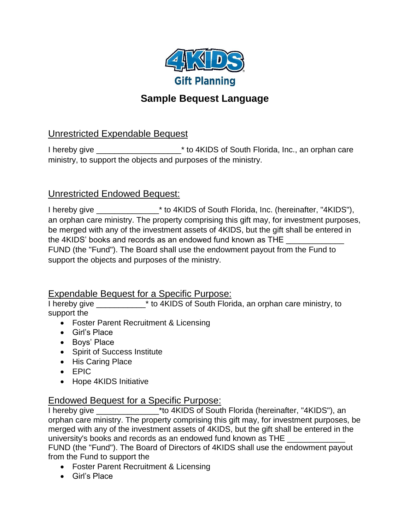

# **Sample Bequest Language**

## Unrestricted Expendable Bequest

I hereby give \_\_\_\_\_\_\_\_\_\_\_\_\_\_\_\_\_\_\_\_\_\_\* to 4KIDS of South Florida, Inc., an orphan care ministry, to support the objects and purposes of the ministry.

#### Unrestricted Endowed Bequest:

I hereby give \_\_\_\_\_\_\_\_\_\_\_\_\_\_\* to 4KIDS of South Florida, Inc. (hereinafter, "4KIDS"), an orphan care ministry. The property comprising this gift may, for investment purposes, be merged with any of the investment assets of 4KIDS, but the gift shall be entered in the 4KIDS' books and records as an endowed fund known as THE FUND (the "Fund"). The Board shall use the endowment payout from the Fund to support the objects and purposes of the ministry.

#### Expendable Bequest for a Specific Purpose:

I hereby give \_\_\_\_\_\_\_\_\_\_\_\* to 4KIDS of South Florida, an orphan care ministry, to support the

- Foster Parent Recruitment & Licensing
- Girl's Place
- Boys' Place
- Spirit of Success Institute
- His Caring Place
- EPIC
- Hope 4KIDS Initiative

#### Endowed Bequest for a Specific Purpose:

I hereby give \_\_\_\_\_\_\_\_\_\_\_\_\_\_\*to 4KIDS of South Florida (hereinafter, "4KIDS"), an orphan care ministry. The property comprising this gift may, for investment purposes, be merged with any of the investment assets of 4KIDS, but the gift shall be entered in the university's books and records as an endowed fund known as THE

FUND (the "Fund"). The Board of Directors of 4KIDS shall use the endowment payout from the Fund to support the

- Foster Parent Recruitment & Licensing
- Girl's Place